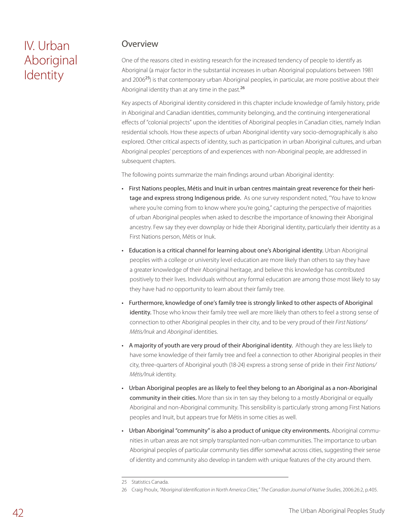# IV. Urban Aboriginal Identity

### Overview

One of the reasons cited in existing research for the increased tendency of people to identify as Aboriginal (a major factor in the substantial increases in urban Aboriginal populations between 1981 and 2006<sup>25</sup>) is that contemporary urban Aboriginal peoples, in particular, are more positive about their Aboriginal identity than at any time in the past.<sup>26</sup>

Key aspects of Aboriginal identity considered in this chapter include knowledge of family history, pride in Aboriginal and Canadian identities, community belonging, and the continuing intergenerational effects of "colonial projects" upon the identities of Aboriginal peoples in Canadian cities, namely Indian residential schools. How these aspects of urban Aboriginal identity vary socio-demographically is also explored. Other critical aspects of identity, such as participation in urban Aboriginal cultures, and urban Aboriginal peoples' perceptions of and experiences with non-Aboriginal people, are addressed in subsequent chapters.

The following points summarize the main findings around urban Aboriginal identity:

- First Nations peoples, Métis and Inuit in urban centres maintain great reverence for their heritage and express strong Indigenous pride. As one survey respondent noted, "You have to know where you're coming from to know where you're going," capturing the perspective of majorities of urban Aboriginal peoples when asked to describe the importance of knowing their Aboriginal ancestry. Few say they ever downplay or hide their Aboriginal identity, particularly their identity as a First Nations person, Métis or Inuk.
- Education is a critical channel for learning about one's Aboriginal identity. Urban Aboriginal peoples with a college or university level education are more likely than others to say they have a greater knowledge of their Aboriginal heritage, and believe this knowledge has contributed positively to their lives. Individuals without any formal education are among those most likely to say they have had *no* opportunity to learn about their family tree.
- Furthermore, knowledge of one's family tree is strongly linked to other aspects of Aboriginal identity. Those who know their family tree well are more likely than others to feel a strong sense of connection to other Aboriginal peoples in their city, and to be very proud of their *First Nations/ Métis/Inuk* and *Aboriginal* identities.
- A majority of youth are very proud of their Aboriginal identity. Although they are less likely to have some knowledge of their family tree and feel a connection to other Aboriginal peoples in their city, three-quarters of Aboriginal youth (18-24) express a strong sense of pride in their *First Nations/ Métis/Inuk* identity.
- Urban Aboriginal peoples are as likely to feel they belong to an Aboriginal as a non-Aboriginal community in their cities. More than six in ten say they belong to a mostly Aboriginal or equally Aboriginal and non-Aboriginal community. This sensibility is particularly strong among First Nations peoples and Inuit, but appears true for Métis in some cities as well.
- Urban Aboriginal "community" is also a product of unique city environments. Aboriginal communities in urban areas are not simply transplanted non-urban communities. The importance to urban Aboriginal peoples of particular community ties differ somewhat across cities, suggesting their sense of identity and community also develop in tandem with unique features of the city around them.

<sup>25</sup> Statistics Canada.

<sup>26</sup> Craig Proulx, *"Aboriginal Identification in North America Cities," The Canadian Journal of Native Studies*, 2006:26:2, p.405.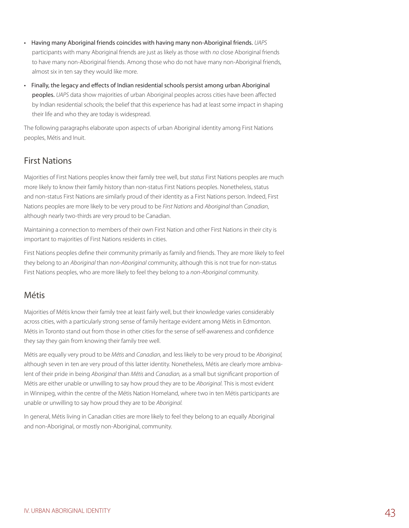- Having many Aboriginal friends coincides with having many non-Aboriginal friends. *UAPS* participants with many Aboriginal friends are just as likely as those with *no* close Aboriginal friends to have many non-Aboriginal friends. Among those who do not have many non-Aboriginal friends, almost six in ten say they would like more.
- Finally, the legacy and effects of Indian residential schools persist among urban Aboriginal peoples. *UAPS* data show majorities of urban Aboriginal peoples across cities have been affected by Indian residential schools; the belief that this experience has had at least some impact in shaping their life and who they are today is widespread.

The following paragraphs elaborate upon aspects of urban Aboriginal identity among First Nations peoples, Métis and Inuit.

## First Nations

Majorities of First Nations peoples know their family tree well, but *status* First Nations peoples are much more likely to know their family history than non-status First Nations peoples. Nonetheless, status and non-status First Nations are similarly proud of their identity as a First Nations person. Indeed, First Nations peoples are more likely to be very proud to be *First Nations* and *Aboriginal* than *Canadian*, although nearly two-thirds are very proud to be Canadian.

Maintaining a connection to members of their own First Nation and other First Nations in their city is important to majorities of First Nations residents in cities.

First Nations peoples define their community primarily as family and friends. They are more likely to feel they belong to an *Aboriginal* than *non-Aboriginal* community, although this is not true for non-status First Nations peoples, who are more likely to feel they belong to a *non-Aboriginal* community.

### Métis

Majorities of Métis know their family tree at least fairly well, but their knowledge varies considerably across cities, with a particularly strong sense of family heritage evident among Métis in Edmonton. Métis in Toronto stand out from those in other cities for the sense of self-awareness and confidence they say they gain from knowing their family tree well.

Métis are equally very proud to be *Métis* and *Canadian*, and less likely to be very proud to be *Aboriginal,* although seven in ten are very proud of this latter identity. Nonetheless, Métis are clearly more ambivalent of their pride in being *Aboriginal* than *Métis* and *Canadian,* as a small but significant proportion of Métis are either unable or unwilling to say how proud they are to be *Aboriginal*. This is most evident in Winnipeg, within the centre of the Métis Nation Homeland, where two in ten Métis participants are unable or unwilling to say how proud they are to be *Aboriginal.* 

In general, Métis living in Canadian cities are more likely to feel they belong to an equally Aboriginal and non-Aboriginal, or mostly non-Aboriginal, community.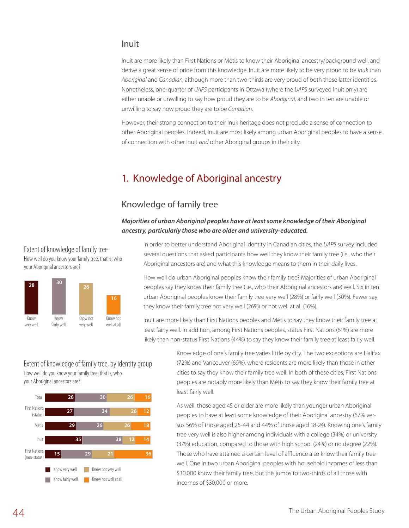#### Inuit

Inuit are more likely than First Nations or Métis to know their Aboriginal ancestry/background well, and derive a great sense of pride from this knowledge. Inuit are more likely to be very proud to be *Inuk* than *Aboriginal* and *Canadian,* although more than two-thirds are very proud of both these latter identities. Nonetheless, one-quarter of *UAPS* participants in Ottawa (where the *UAPS* surveyed Inuit only) are either unable or unwilling to say how proud they are to be *Aboriginal,* and two in ten are unable or unwilling to say how proud they are to be *Canadian.*

However, their strong connection to their Inuk heritage does not preclude a sense of connection to other Aboriginal peoples. Indeed, Inuit are most likely among urban Aboriginal peoples to have a sense of connection with other Inuit *and* other Aboriginal groups in their city.

## 1. Knowledge of Aboriginal ancestry

### Knowledge of family tree

*Majorities of urban Aboriginal peoples have at least some knowledge of their Aboriginal ancestry, particularly those who are older and university-educated.*

Extent of knowledge of family tree How well do you know your family tree, that is, who your Aboriginal ancestors are?



In order to better understand Aboriginal identity in Canadian cities, the *UAPS* survey included several questions that asked participants how well they know their family tree (i.e., who their Aboriginal ancestors are) and what this knowledge means to them in their daily lives.

How well do urban Aboriginal peoples know their family tree? Majorities of urban Aboriginal peoples say they know their family tree (i.e., who their Aboriginal ancestors are) well. Six in ten urban Aboriginal peoples know their family tree very well (28%) or fairly well (30%). Fewer say they know their family tree not very well (26%) or not well at all (16%).

Inuit are more likely than First Nations peoples and Métis to say they know their family tree at least fairly well. In addition, among First Nations peoples, status First Nations (61%) are more likely than non-status First Nations (44%) to say they know their family tree at least fairly well.

Extent of knowledge of family tree, by identity group How well do you know your family tree, that is, who your Aboriginal ancestors are?



Knowledge of one's family tree varies little by city. The two exceptions are Halifax (72%) and Vancouver (69%), where residents are more likely than those in other cities to say they know their family tree well. In both of these cities, First Nations peoples are notably more likely than Métis to say they know their family tree at least fairly well.

As well, those aged 45 or older are more likely than younger urban Aboriginal peoples to have at least some knowledge of their Aboriginal ancestry (67% versus 56% of those aged 25-44 and 44% of those aged 18-24). Knowing one's family tree very well is also higher among individuals with a college (34%) or university (37%) education, compared to those with high school (24%) or no degree (22%). Those who have attained a certain level of affluence also know their family tree well. One in two urban Aboriginal peoples with household incomes of less than \$30,000 know their family tree, but this jumps to two-thirds of all those with incomes of \$30,000 or more.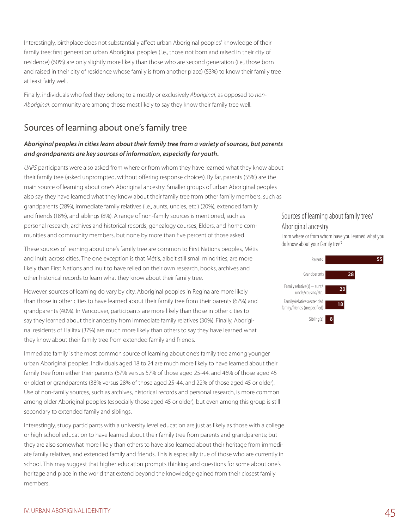Interestingly, birthplace does not substantially affect urban Aboriginal peoples' knowledge of their family tree: first generation urban Aboriginal peoples (i.e., those not born and raised in their city of residence) (60%) are only slightly more likely than those who are second generation (i.e., those born and raised in their city of residence whose family is from another place) (53%) to know their family tree at least fairly well.

Finally, individuals who feel they belong to a mostly or exclusively *Aboriginal,* as opposed to *non-Aboriginal,* community are among those most likely to say they know their family tree well.

## Sources of learning about one's family tree

#### *Aboriginal peoples in cities learn about their family tree from a variety of sources, but parents and grandparents are key sources of information, especially for youth.*

*UAPS* participants were also asked from where or from whom they have learned what they know about their family tree (asked unprompted, without offering response choices). By far, parents (55%) are the main source of learning about one's Aboriginal ancestry. Smaller groups of urban Aboriginal peoples also say they have learned what they know about their family tree from other family members, such as grandparents (28%), immediate family relatives (i.e., aunts, uncles, etc.) (20%), extended family and friends (18%), and siblings (8%). A range of non-family sources is mentioned, such as personal research, archives and historical records, genealogy courses, Elders, and home communities and community members, but none by more than five percent of those asked.

These sources of learning about one's family tree are common to First Nations peoples, Métis and Inuit, across cities. The one exception is that Métis, albeit still small minorities, are more likely than First Nations and Inuit to have relied on their own research, books, archives and other historical records to learn what they know about their family tree.

However, sources of learning do vary by city. Aboriginal peoples in Regina are more likely than those in other cities to have learned about their family tree from their parents (67%) and grandparents (40%). In Vancouver, participants are more likely than those in other cities to say they learned about their ancestry from immediate family relatives (30%). Finally, Aboriginal residents of Halifax (37%) are much more likely than others to say they have learned what they know about their family tree from extended family and friends.

Immediate family is the most common source of learning about one's family tree among younger urban Aboriginal peoples. Individuals aged 18 to 24 are much more likely to have learned about their family tree from either their parents (67% versus 57% of those aged 25-44, and 46% of those aged 45 or older) or grandparents (38% versus 28% of those aged 25-44, and 22% of those aged 45 or older). Use of non-family sources, such as archives, historical records and personal research, is more common among older Aboriginal peoples (especially those aged 45 or older), but even among this group is still secondary to extended family and siblings.

Interestingly, study participants with a university level education are just as likely as those with a college or high school education to have learned about their family tree from parents and grandparents; but they are also somewhat more likely than others to have also learned about their heritage from immediate family relatives, and extended family and friends. This is especially true of those who are currently in school. This may suggest that higher education prompts thinking and questions for some about one's heritage and place in the world that extend beyond the knowledge gained from their closest family members.

### Sources of learning about family tree/ Aboriginal ancestry

From where or from whom have you learned what you do know about your family tree?

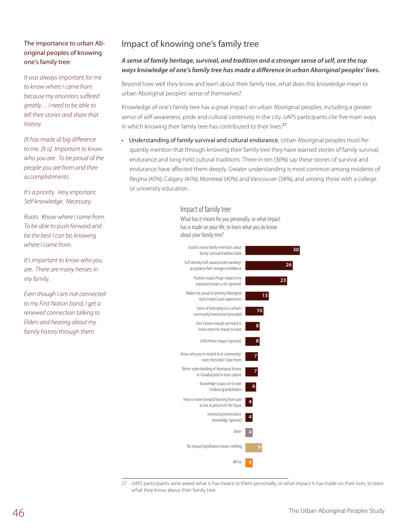#### The importance to urban Aboriginal peoples of knowing one's family tree:

*It was always important for me to know where I came from because my ancestors suffered greatly… I need to be able to tell their stories and share that history.*

*[It has made a] big difference to me. [It is] Important to know who you are. To be proud of the people you are from and their accomplishments.*

*It's a priority. Very important. Self-knowledge. Necessary.*

*Roots. Know where I come from. To be able to push forward and be the best I can be, knowing where I came from.*

*It's important to know who you are. There are many heroes in my family.*

*Even though I am not connected to my First Nation band, I get a renewed connection talking to Elders and hearing about my family history through them.*

## Impact of knowing one's family tree

#### *A sense of family heritage, survival, and tradition and a stronger sense of self, are the top ways knowledge of one's family tree has made a difference in urban Aboriginal peoples' lives.*

Beyond how well they know and learn about their family tree, what does this knowledge mean to urban Aboriginal peoples' sense of themselves?

Knowledge of one's family tree has a great impact on urban Aboriginal peoples, including a greater sense of self-awareness, pride and cultural continuity in the city. *UAPS* participants cite five main ways in which knowing their family tree has contributed to their lives:<sup>27</sup>

• Understanding of family survival and cultural endurance. Urban Aboriginal peoples most frequently mention that through knowing their family tree they have learned stories of family survival, endurance and long-held cultural traditions. Three in ten (30%) say these stories of survival and endurance have affected them deeply. Greater understanding is most common among residents of Regina (45%), Calgary (41%), Montreal (40%) and Vancouver (38%), and among those with a college or university education.

#### Impact of family tree

What has it meant for you personally, or what impact has is made on your life, to learn what you do know about your family tree?



27 *UAPS* participants were asked what is has meant to them personally, or what impact it has made on their lives, to learn what they know about their family tree.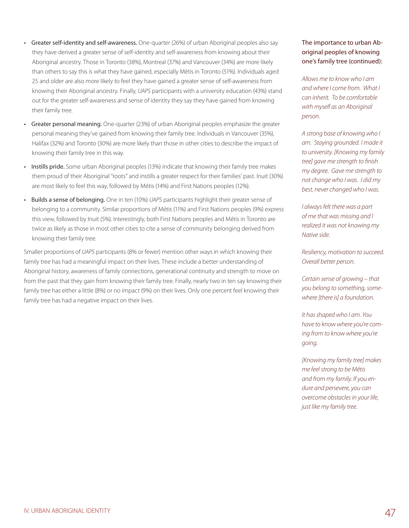- Greater self-identity and self-awareness. One-quarter (26%) of urban Aboriginal peoples also say they have derived a greater sense of self-identity and self-awareness from knowing about their Aboriginal ancestry. Those in Toronto (38%), Montreal (37%) and Vancouver (34%) are more likely than others to say this is what they have gained, especially Métis in Toronto (51%). Individuals aged 25 and older are also more likely to feel they have gained a greater sense of self-awareness from knowing their Aboriginal ancestry. Finally, *UAPS* participants with a university education (43%) stand out for the greater self-awareness and sense of identity they say they have gained from knowing their family tree.
- Greater personal meaning. One-quarter (23%) of urban Aboriginal peoples emphasize the greater personal meaning they've gained from knowing their family tree. Individuals in Vancouver (35%), Halifax (32%) and Toronto (30%) are more likely than those in other cities to describe the impact of knowing their family tree in this way.
- Instills pride. Some urban Aboriginal peoples (13%) indicate that knowing their family tree makes them proud of their Aboriginal "roots" and instills a greater respect for their families' past. Inuit (30%) are most likely to feel this way, followed by Métis (14%) and First Nations peoples (12%).
- Builds a sense of belonging. One in ten (10%) *UAPS* participants highlight their greater sense of belonging to a community. Similar proportions of Métis (11%) and First Nations peoples (9%) express this view, followed by Inuit (5%). Interestingly, both First Nations peoples and Métis in Toronto are twice as likely as those in most other cities to cite a sense of community belonging derived from knowing their family tree.

Smaller proportions of *UAPS* participants (8% or fewer) mention other ways in which knowing their family tree has had a meaningful impact on their lives. These include a better understanding of Aboriginal history, awareness of family connections, generational continuity and strength to move on from the past that they gain from knowing their family tree. Finally, nearly two in ten say knowing their family tree has either a little (8%) or no impact (9%) on their lives. Only one percent feel knowing their family tree has had a negative impact on their lives.

#### The importance to urban Aboriginal peoples of knowing one's family tree (continued):

*Allows me to know who I am and where I come from. What I can inherit. To be comfortable with myself as an Aboriginal person.*

*A strong base of knowing who I am. Staying grounded. I made it to university. [Knowing my family tree] gave me strength to finish my degree. Gave me strength to not change who I was. I did my best, never changed who I was.*

*I always felt there was a part of me that was missing and I realized it was not knowing my Native side.*

*Resiliency, motivation to succeed. Overall better person.*

*Certain sense of growing – that you belong to something, somewhere [there is] a foundation.*

*It has shaped who I am. You have to know where you're coming from to know where you're going.* 

*[Knowing my family tree] makes me feel strong to be Métis and from my family. If you endure and persevere, you can overcome obstacles in your life, just like my family tree.*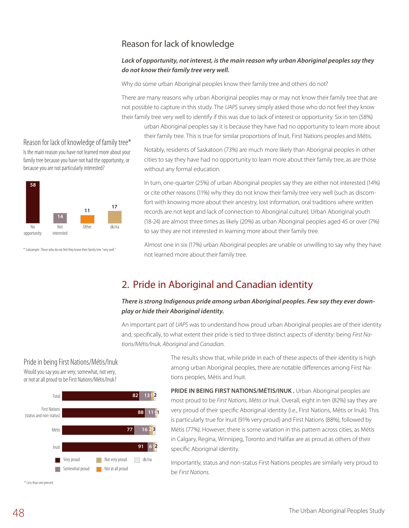## Reason for lack of knowledge

#### *Lack of opportunity, not interest, is the main reason why urban Aboriginal peoples say they do not know their family tree very well.*

Why do some urban Aboriginal peoples know their family tree and others do not?

There are many reasons why urban Aboriginal peoples may or may not know their family tree that are not possible to capture in this study. The *UAPS* survey simply asked those who do not feel they know their family tree very well to identify if this was due to lack of interest or opportunity. Six in ten (58%)

urban Aboriginal peoples say it is because they have had no opportunity to learn more about their family tree. This is true for similar proportions of Inuit, First Nations peoples and Métis.

Notably, residents of Saskatoon (73%) are much more likely than Aboriginal peoples in other cities to say they have had no opportunity to learn more about their family tree, as are those without any formal education.

In turn, one-quarter (25%) of urban Aboriginal peoples say they are either not interested (14%) or cite other reasons (11%) why they do not know their family tree very well (such as discomfort with knowing more about their ancestry, lost information, oral traditions where written records are not kept and lack of connection to Aboriginal culture). Urban Aboriginal youth (18-24) are almost three times as likely (20%) as urban Aboriginal peoples aged 45 or over (7%) to say they are not interested in learning more about their family tree.

Almost one in six (17%) urban Aboriginal peoples are unable or unwilling to say why they have not learned more about their family tree.

## 2. Pride in Aboriginal and Canadian identity

#### *There is strong Indigenous pride among urban Aboriginal peoples. Few say they ever downplay or hide their Aboriginal identity.*

An important part of *UAPS* was to understand how proud urban Aboriginal peoples are of their identity and, specifically, to what extent their pride is tied to three distinct aspects of identity: being *First Nations/Métis/Inuk, Aboriginal* and *Canadian.*

#### Pride in being First Nations/Métis/Inuk

Would you say you are very, somewhat, not very, or not at all proud to be First Nations/Métis/Inuk?



\*Less than one percent

The results show that, while pride in each of these aspects of their identity is high among urban Aboriginal peoples, there are notable differences among First Nations peoples, Métis and Inuit.

**PRIDE IN BEING FIRST NATIONS/MÉTIS/INUK.** Urban Aboriginal peoples are most proud to be *First Nations, Métis or Inuk.* Overall, eight in ten (82%) say they are very proud of their specific Aboriginal identity (i.e., First Nations, Métis or Inuk). This is particularly true for Inuit (91% very proud) and First Nations (88%), followed by Métis (77%). However, there is some variation in this pattern across cities, as Métis in Calgary, Regina, Winnipeg, Toronto and Halifax are as proud as others of their specific Aboriginal identity.

Importantly, status and non-status First Nations peoples are similarly very proud to be *First Nations.*

#### Reason for lack of knowledge of family tree\*

Is the main reason you have not learned more about your family tree because you have not had the opportunity, or because you are not particularly interested?



\*Subsample:Those who do not feel they know their family tree "very well."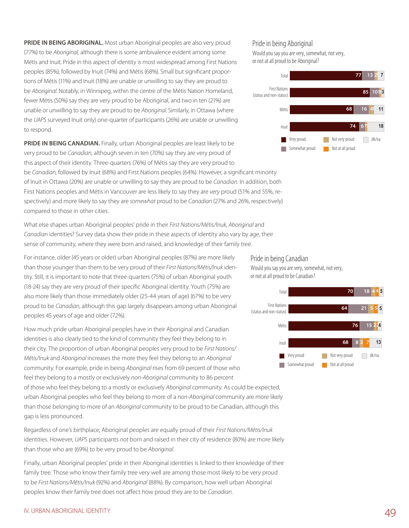**PRIDE IN BEING ABORIGINAL.** Most urban Aboriginal peoples are also very proud (77%) to be *Aboriginal,* although there is some ambivalence evident among some Métis and Inuit. Pride in this aspect of identity is most widespread among First Nations peoples (85%), followed by Inuit (74%) and Métis (68%). Small but significant proportions of Métis (11%) and Inuit (18%) are unable or unwilling to say they are proud to be *Aboriginal.* Notably, in Winnipeg, within the centre of the Métis Nation Homeland, fewer Métis (50%) say they are very proud to be Aboriginal, and two in ten (21%) are unable or unwilling to say they are proud to be *Aboriginal.* Similarly, in Ottawa (where the *UAPS* surveyed Inuit only) one-quarter of participants (26%) are unable or unwilling to respond.

**PRIDE IN BEING CANADIAN.** Finally, urban Aboriginal peoples are least likely to be very proud to be *Canadian*, although seven in ten (70%) say they are very proud of this aspect of their identity. Three-quarters (76%) of Métis say they are very proud to be *Canadian,* followed by Inuit (68%) and First Nations peoples (64%). However, a significant minority of Inuit in Ottawa (20%) are unable or unwilling to say they are proud to be *Canadian.* In addition, both First Nations peoples and Métis in Vancouver are less likely to say they are *very* proud (51% and 55%, respectively) and more likely to say they are *somewhat* proud to be *Canadian* (27% and 26%, respectively) compared to those in other cities.

What else shapes urban Aboriginal peoples' pride in their *First Nations/Métis/Inuk, Aboriginal* and *Canadian* identities? Survey data show their pride in these aspects of identity also vary by age, their sense of community, where they were born and raised, and knowledge of their family tree.

For instance, older (45 years or older) urban Aboriginal peoples (87%) are more likely than those younger than them to be very proud of their *First Nations/Métis/Inuk* identity. Still, it is important to note that three-quarters (75%) of urban Aboriginal youth (18-24) say they are very proud of their specific Aboriginal identity. Youth (75%) are also more likely than those immediately older (25-44 years of age) (67%) to be very proud to be *Canadian*, although this gap largely disappears among urban Aboriginal peoples 45 years of age and older (72%).

How much pride urban Aboriginal peoples have in their Aboriginal and Canadian identities is also clearly tied to the kind of community they feel they belong to in their city. The proportion of urban Aboriginal peoples very proud to be *First Nations/ Métis/Inuk* and *Aboriginal* increases the more they feel they belong to an *Aboriginal* community. For example, pride in being *Aboriginal* rises from 69 percent of those who feel they belong to a mostly or exclusively *non-Aboriginal* community to 86 percent of those who feel they belong to a mostly or exclusively *Aboriginal* community. As could be expected, urban Aboriginal peoples who feel they belong to more of a *non-Aboriginal* community are more likely than those belonging to more of an *Aboriginal* community to be proud to be Canadian, although this gap is less pronounced.

Regardless of one's birthplace, Aboriginal peoples are equally proud of their *First Nations/Métis/Inuk* identities. However, *UAPS* participants *not* born and raised in their city of residence (80%) are more likely than those who are (69%) to be very proud to be *Aboriginal*.

Finally, urban Aboriginal peoples' pride in their Aboriginal identities is linked to their knowledge of their family tree. Those who know their family tree very well are among those most likely to be very proud to be *First Nations/Métis/Inuk* (92%) and *Aboriginal* (88%). By comparison, how well urban Aboriginal peoples know their family tree does not affect how proud they are to be *Canadian*.

#### Pride in being Aboriginal

Would you say you are very, somewhat, not very, or not at all proud to be Aboriginal?



#### Pride in being Canadian

Would you say you are very, somewhat, not very, or not at all proud to be Canadian?

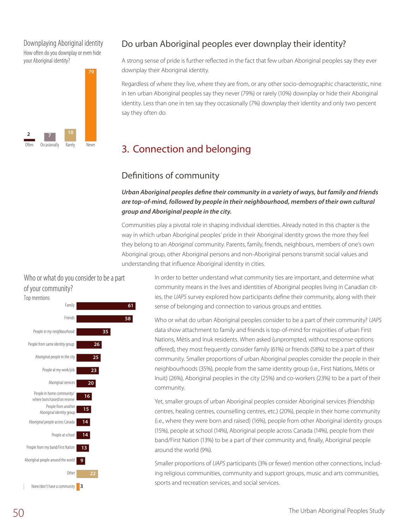#### Downplaying Aboriginal identity How often do you downplay or even hide your Aboriginal identity?



## Do urban Aboriginal peoples ever downplay their identity?

A strong sense of pride is further reflected in the fact that few urban Aboriginal peoples say they ever downplay their Aboriginal identity.

Regardless of where they live, where they are from, or any other socio-demographic characteristic, nine in ten urban Aboriginal peoples say they never (79%) or rarely (10%) downplay or hide their Aboriginal identity. Less than one in ten say they occasionally (7%) downplay their identity and only two percent say they often do.

## 3. Connection and belonging

## Definitions of community

*Urban Aboriginal peoples define their community in a variety of ways, but family and friends are top-of-mind, followed by people in their neighbourhood, members of their own cultural group and Aboriginal people in the city.*

Communities play a pivotal role in shaping individual identities. Already noted in this chapter is the way in which urban Aboriginal peoples' pride in their Aboriginal identity grows the more they feel they belong to an *Aboriginal* community. Parents, family, friends, neighbours, members of one's own Aboriginal group, other Aboriginal persons and non-Aboriginal persons transmit social values and understanding that influence Aboriginal identity in cities.

#### Who or what do you consider to be a part of your community?



In order to better understand what community ties are important, and determine what community means in the lives and identities of Aboriginal peoples living in Canadian cities, the *UAPS* survey explored how participants define their community, along with their sense of belonging and connection to various groups and entities.

Who or what do urban Aboriginal peoples consider to be a part of their community? *UAPS* data show attachment to family and friends is top-of-mind for majorities of urban First Nations, Métis and Inuk residents. When asked (unprompted, without response options offered), they most frequently consider family (61%) or friends (58%) to be a part of their community. Smaller proportions of urban Aboriginal peoples consider the people in their neighbourhoods (35%), people from the same identity group (i.e., First Nations, Métis or Inuit) (26%), Aboriginal peoples in the city (25%) and co-workers (23%) to be a part of their community.

Yet, smaller groups of urban Aboriginal peoples consider Aboriginal services (friendship centres, healing centres, counselling centres, etc.) (20%), people in their home community (i.e., where they were born and raised) (16%), people from other Aboriginal identity groups (15%), people at school (14%), Aboriginal people across Canada (14%), people from their band/First Nation (13%) to be a part of their community and, finally, Aboriginal people around the world (9%).

Smaller proportions of *UAPS* participants (3% or fewer) mention other connections, including religious communities, community and support groups, music and arts communities, sports and recreation services, and social services.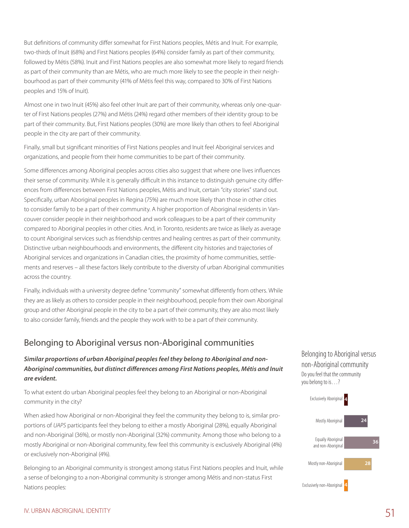But definitions of community differ somewhat for First Nations peoples, Métis and Inuit. For example, two-thirds of Inuit (68%) and First Nations peoples (64%) consider family as part of their community, followed by Métis (58%). Inuit and First Nations peoples are also somewhat more likely to regard friends as part of their community than are Métis, who are much more likely to see the people in their neighbourhood as part of their community (41% of Métis feel this way, compared to 30% of First Nations peoples and 15% of Inuit).

Almost one in two Inuit (45%) also feel other Inuit are part of their community, whereas only one-quarter of First Nations peoples (27%) and Métis (24%) regard other members of their identity group to be part of their community. But, First Nations peoples (30%) are more likely than others to feel Aboriginal people in the city are part of their community.

Finally, small but significant minorities of First Nations peoples and Inuit feel Aboriginal services and organizations, and people from their home communities to be part of their community.

Some differences among Aboriginal peoples across cities also suggest that where one lives influences their sense of community. While it is generally difficult in this instance to distinguish genuine city differences from differences between First Nations peoples, Métis and Inuit, certain "city stories" stand out. Specifically, urban Aboriginal peoples in Regina (75%) are much more likely than those in other cities to consider family to be a part of their community. A higher proportion of Aboriginal residents in Vancouver consider people in their neighborhood and work colleagues to be a part of their community compared to Aboriginal peoples in other cities. And, in Toronto, residents are twice as likely as average to count Aboriginal services such as friendship centres and healing centres as part of their community. Distinctive urban neighbourhoods and environments, the different city histories and trajectories of Aboriginal services and organizations in Canadian cities, the proximity of home communities, settlements and reserves – all these factors likely contribute to the diversity of urban Aboriginal communities across the country.

Finally, individuals with a university degree define "community" somewhat differently from others. While they are as likely as others to consider people in their neighbourhood, people from their own Aboriginal group and other Aboriginal people in the city to be a part of their community, they are also most likely to also consider family, friends and the people they work with to be a part of their community.

## Belonging to Aboriginal versus non-Aboriginal communities

#### *Similar proportions of urban Aboriginal peoples feel they belong to Aboriginal and non-Aboriginal communities, but distinct differences among First Nations peoples, Métis and Inuit are evident.*

To what extent do urban Aboriginal peoples feel they belong to an Aboriginal or non-Aboriginal community in the city?

When asked how Aboriginal or non-Aboriginal they feel the community they belong to is, similar proportions of *UAPS* participants feel they belong to either a mostly Aboriginal (28%), equally Aboriginal and non-Aboriginal (36%), or mostly non-Aboriginal (32%) community. Among those who belong to a mostly Aboriginal or non-Aboriginal community, few feel this community is exclusively Aboriginal (4%) or exclusively non-Aboriginal (4%).

Belonging to an Aboriginal community is strongest among status First Nations peoples and Inuit, while a sense of belonging to a non-Aboriginal community is stronger among Métis and non-status First Nations peoples: Exclusively non-Aboriginal





#### IV. URBAN ABORIGINAL IDENTITY 51 SERVER THE STATE OF STATE STATES IN THE STATE OF STATES IN THE STATE OF STATES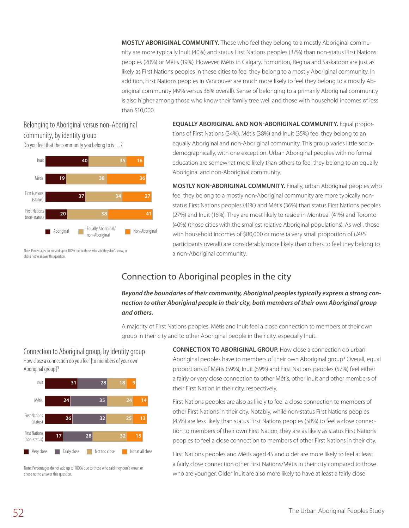**Mostly Aboriginal community.** Those who feel they belong to a mostly Aboriginal community are more typically Inuit (40%) and status First Nations peoples (37%) than non-status First Nations peoples (20%) or Métis (19%). However, Métis in Calgary, Edmonton, Regina and Saskatoon are just as likely as First Nations peoples in these cities to feel they belong to a mostly Aboriginal community. In addition, First Nations peoples in Vancouver are much more likely to feel they belong to a mostly Aboriginal community (49% versus 38% overall). Sense of belonging to a primarily Aboriginal community is also higher among those who know their family tree well and those with household incomes of less than \$10,000.

#### Belonging to Aboriginal versus non-Aboriginal community, by identity group Do you feel that the community you belong to is…?



**Equally Aboriginal and non-Aboriginal community.** Equal proportions of First Nations (34%), Métis (38%) and Inuit (35%) feel they belong to an equally Aboriginal and non-Aboriginal community. This group varies little sociodemographically, with one exception. Urban Aboriginal peoples with no formal education are somewhat more likely than others to feel they belong to an equally Aboriginal and non-Aboriginal community.

**Mostly non-Aboriginal community.** Finally, urban Aboriginal peoples who feel they belong to a mostly non-Aboriginal community are more typically nonstatus First Nations peoples (41%) and Métis (36%) than status First Nations peoples (27%) and Inuit (16%). They are most likely to reside in Montreal (41%) and Toronto (40%) (those cities with the smallest relative Aboriginal populations). As well, those with household incomes of \$80,000 or more (a very small proportion of *UAPS* participants overall) are considerably more likely than others to feel they belong to a non-Aboriginal community.

Note: Percentages do not add up to 100% due to those who said they don't know, or chose not to answer this question.

## Connection to Aboriginal peoples in the city

#### *Beyond the boundaries of their community, Aboriginal peoples typically express a strong connection to other Aboriginal people in their city, both members of their own Aboriginal group and others.*

A majority of First Nations peoples, Métis and Inuit feel a close connection to members of their own group in their city and to other Aboriginal people in their city, especially Inuit.

Connection to Aboriginal group, by identity group How close a connection do you feel [to members of your own Aboriginal group]?



Note: Percentages do not add up to 100% due to those who said they don't know, or chose not to answer this question.

**Connection to Aboriginal group.** How close a connection do urban Aboriginal peoples have to members of their own Aboriginal group? Overall, equal proportions of Métis (59%), Inuit (59%) and First Nations peoples (57%) feel either a fairly or very close connection to other Métis, other Inuit and other members of their First Nation in their city, respectively.

First Nations peoples are also as likely to feel a close connection to members of other First Nations in their city. Notably, while non-status First Nations peoples (45%) are less likely than status First Nations peoples (58%) to feel a close connection to members of their own First Nation, they are as likely as status First Nations peoples to feel a close connection to members of other First Nations in their city.

First Nations peoples and Métis aged 45 and older are more likely to feel at least a fairly close connection other First Nations/Métis in their city compared to those who are younger. Older Inuit are also more likely to have at least a fairly close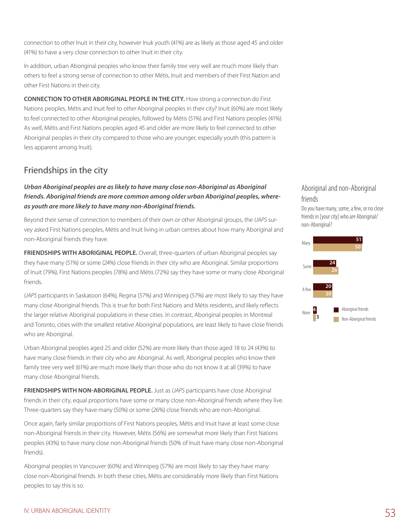connection to other Inuit in their city, however Inuk youth (41%) are as likely as those aged 45 and older (41%) to have a very close connection to other Inuit in their city.

In addition, urban Aboriginal peoples who know their family tree very well are much more likely than others to feel a strong sense of connection to other Métis, Inuit and members of their First Nation and other First Nations in their city.

**Connection to other Aboriginal people in the city.** How strong a connection do First Nations peoples, Métis and Inuit feel to *other* Aboriginal peoples in their city? Inuit (60%) are most likely to feel connected to other Aboriginal peoples, followed by Métis (51%) and First Nations peoples (41%). As well, Métis and First Nations peoples aged 45 and older are more likely to feel connected to other Aboriginal peoples in their city compared to those who are younger, especially youth (this pattern is less apparent among Inuit).

## Friendships in the city

*Urban Aboriginal peoples are as likely to have many close non-Aboriginal as Aboriginal friends. Aboriginal friends are more common among older urban Aboriginal peoples, whereas youth are more likely to have many non-Aboriginal friends.*

Beyond their sense of connection to members of their own or other Aboriginal groups, the *UAPS* survey asked First Nations peoples, Métis and Inuit living in urban centres about how many Aboriginal and non-Aboriginal friends they have.

**Friendships with Aboriginal people.** Overall, three-quarters of urban Aboriginal peoples say they have many (51%) or some (24%) close friends in their city who are Aboriginal. Similar proportions of Inuit (79%), First Nations peoples (78%) and Métis (72%) say they have some or many close Aboriginal friends.

*UAPS* participants in Saskatoon (64%), Regina (57%) and Winnipeg (57%) are most likely to say they have many close Aboriginal friends. This is true for both First Nations and Métis residents, and likely reflects the larger relative Aboriginal populations in these cities. In contrast, Aboriginal peoples in Montreal and Toronto, cities with the smallest relative Aboriginal populations, are least likely to have close friends who are Aboriginal.

Urban Aboriginal peoples aged 25 and older (52%) are more likely than those aged 18 to 24 (43%) to have many close friends in their city who are Aboriginal. As well, Aboriginal peoples who know their family tree very well (61%) are much more likely than those who do not know it at all (39%) to have many close Aboriginal friends.

**Friendships with non-Aboriginal people.** Just as *UAPS* participants have close Aboriginal friends in their city, equal proportions have some or many close non-Aboriginal friends where they live. Three-quarters say they have many (50%) or some (26%) close friends who are non-Aboriginal.

Once again, fairly similar proportions of First Nations peoples, Métis and Inuit have at least some close non-Aboriginal friends in their city. However, Métis (56%) are somewhat more likely than First Nations peoples (43%) to have *many* close non-Aboriginal friends (50% of Inuit have many close non-Aboriginal friends).

Aboriginal peoples in Vancouver (60%) and Winnipeg (57%) are most likely to say they have many close non-Aboriginal friends. In both these cities, Métis are considerably more likely than First Nations peoples to say this is so.

#### Aboriginal and non-Aboriginal friends

Do you have many, some, a few, or no close friends in [your city] who are Aboriginal/ non-Aboriginal?

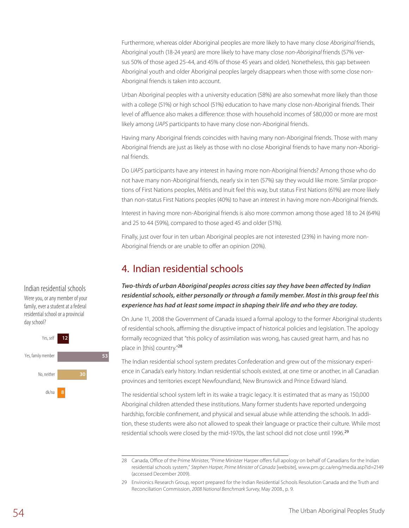Furthermore, whereas older Aboriginal peoples are more likely to have many close *Aboriginal* friends, Aboriginal youth (18-24 years) are more likely to have many close *non-Aboriginal* friends (57% versus 50% of those aged 25-44, and 45% of those 45 years and older). Nonetheless, this gap between Aboriginal youth and older Aboriginal peoples largely disappears when those with some close non-Aboriginal friends is taken into account.

Urban Aboriginal peoples with a university education (58%) are also somewhat more likely than those with a college (51%) or high school (51%) education to have many close non-Aboriginal friends. Their level of affluence also makes a difference: those with household incomes of \$80,000 or more are most likely among *UAPS* participants to have many close non-Aboriginal friends.

Having many Aboriginal friends coincides with having many non-Aboriginal friends. Those with many Aboriginal friends are just as likely as those with no close Aboriginal friends to have many non-Aboriginal friends.

Do *UAPS* participants have any interest in having more non-Aboriginal friends? Among those who do not have many non-Aboriginal friends, nearly six in ten (57%) say they would like more. Similar proportions of First Nations peoples, Métis and Inuit feel this way, but status First Nations (61%) are more likely than non-status First Nations peoples (40%) to have an interest in having more non-Aboriginal friends.

Interest in having more non-Aboriginal friends is also more common among those aged 18 to 24 (64%) and 25 to 44 (59%), compared to those aged 45 and older (51%).

Finally, just over four in ten urban Aboriginal peoples are not interested (23%) in having more non-Aboriginal friends or are unable to offer an opinion (20%).

## 4. Indian residential schools

Two-thirds of urban Aboriginal peoples across cities say they have been affected by Indian *residential schools, either personally or through a family member. Most in this group feel this experience has had at least some impact in shaping their life and who they are today.*

On June 11, 2008 the Government of Canada issued a formal apology to the former Aboriginal students of residential schools, affirming the disruptive impact of historical policies and legislation. The apology formally recognized that "this policy of assimilation was wrong, has caused great harm, and has no place in [this] country."<sup>28</sup>

The Indian residential school system predates Confederation and grew out of the missionary experience in Canada's early history. Indian residential schools existed, at one time or another, in all Canadian provinces and territories except Newfoundland, New Brunswick and Prince Edward Island.

The residential school system left in its wake a tragic legacy. It is estimated that as many as 150,000 Aboriginal children attended these institutions. Many former students have reported undergoing hardship, forcible confinement, and physical and sexual abuse while attending the schools. In addition, these students were also not allowed to speak their language or practice their culture. While most residential schools were closed by the mid-1970s, the last school did not close until 1996.<sup>29</sup>

#### Indian residential schools

Were you, or any member of your family, ever a student at a federal residential school or a provincial day school?



<sup>28</sup> Canada, Office of the Prime Minister, "Prime Minister Harper offers full apology on behalf of Canadians for the Indian residential schools system," *Stephen Harper, Prime Minister of Canada* [website], www.pm.gc.ca/eng/media.asp?id=2149 (accessed December 2009).

<sup>29</sup> Environics Research Group, report prepared for the Indian Residential Schools Resolution Canada and the Truth and Reconciliation Commission, *2008 National Benchmark Survey*, May 2008., p. 9.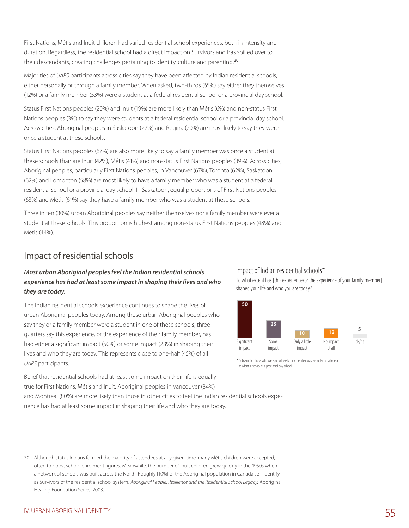First Nations, Métis and Inuit children had varied residential school experiences, both in intensity and duration. Regardless, the residential school had a direct impact on Survivors and has spilled over to their descendants, creating challenges pertaining to identity, culture and parenting.<sup>30</sup>

Majorities of *UAPS* participants across cities say they have been affected by Indian residential schools, either personally or through a family member. When asked, two-thirds (65%) say either they themselves (12%) or a family member (53%) were a student at a federal residential school or a provincial day school.

Status First Nations peoples (20%) and Inuit (19%) are more likely than Métis (6%) and non-status First Nations peoples (3%) to say they were students at a federal residential school or a provincial day school. Across cities, Aboriginal peoples in Saskatoon (22%) and Regina (20%) are most likely to say they were once a student at these schools.

Status First Nations peoples (67%) are also more likely to say a family member was once a student at these schools than are Inuit (42%), Métis (41%) and non-status First Nations peoples (39%). Across cities, Aboriginal peoples, particularly First Nations peoples, in Vancouver (67%), Toronto (62%), Saskatoon (62%) and Edmonton (58%) are most likely to have a family member who was a student at a federal residential school or a provincial day school. In Saskatoon, equal proportions of First Nations peoples (63%) and Métis (61%) say they have a family member who was a student at these schools.

Three in ten (30%) urban Aboriginal peoples say neither themselves nor a family member were ever a student at these schools. This proportion is highest among non-status First Nations peoples (48%) and Métis (44%).

### Impact of residential schools

#### *Most urban Aboriginal peoples feel the Indian residential schools experience has had at least some impact in shaping their lives and who they are today.*

The Indian residential schools experience continues to shape the lives of urban Aboriginal peoples today. Among those urban Aboriginal peoples who say they or a family member were a student in one of these schools, threequarters say this experience, or the experience of their family member, has had either a significant impact (50%) or some impact (23%) in shaping their lives and who they are today. This represents close to one-half (45%) of all *UAPS* participants.

#### Impact of Indian residential schools\*

To what extent has [this experience/or the experience of your family member] shaped your life and who you are today?



\* Subsample:Those who were, or whose family member was, a student at a federal residential school or a provincial day school.

Belief that residential schools had at least some impact on their life is equally true for First Nations, Métis and Inuit. Aboriginal peoples in Vancouver (84%)

and Montreal (80%) are more likely than those in other cities to feel the Indian residential schools experience has had at least some impact in shaping their life and who they are today.

<sup>30</sup> Although status Indians formed the majority of attendees at any given time, many Métis children were accepted, often to boost school enrolment figures. Meanwhile, the number of Inuit children grew quickly in the 1950s when a network of schools was built across the North. Roughly [10%] of the Aboriginal population in Canada self-identify as Survivors of the residential school system. *Aboriginal People, Resilience and the Residential School Legacy,* Aboriginal Healing Foundation Series, 2003.